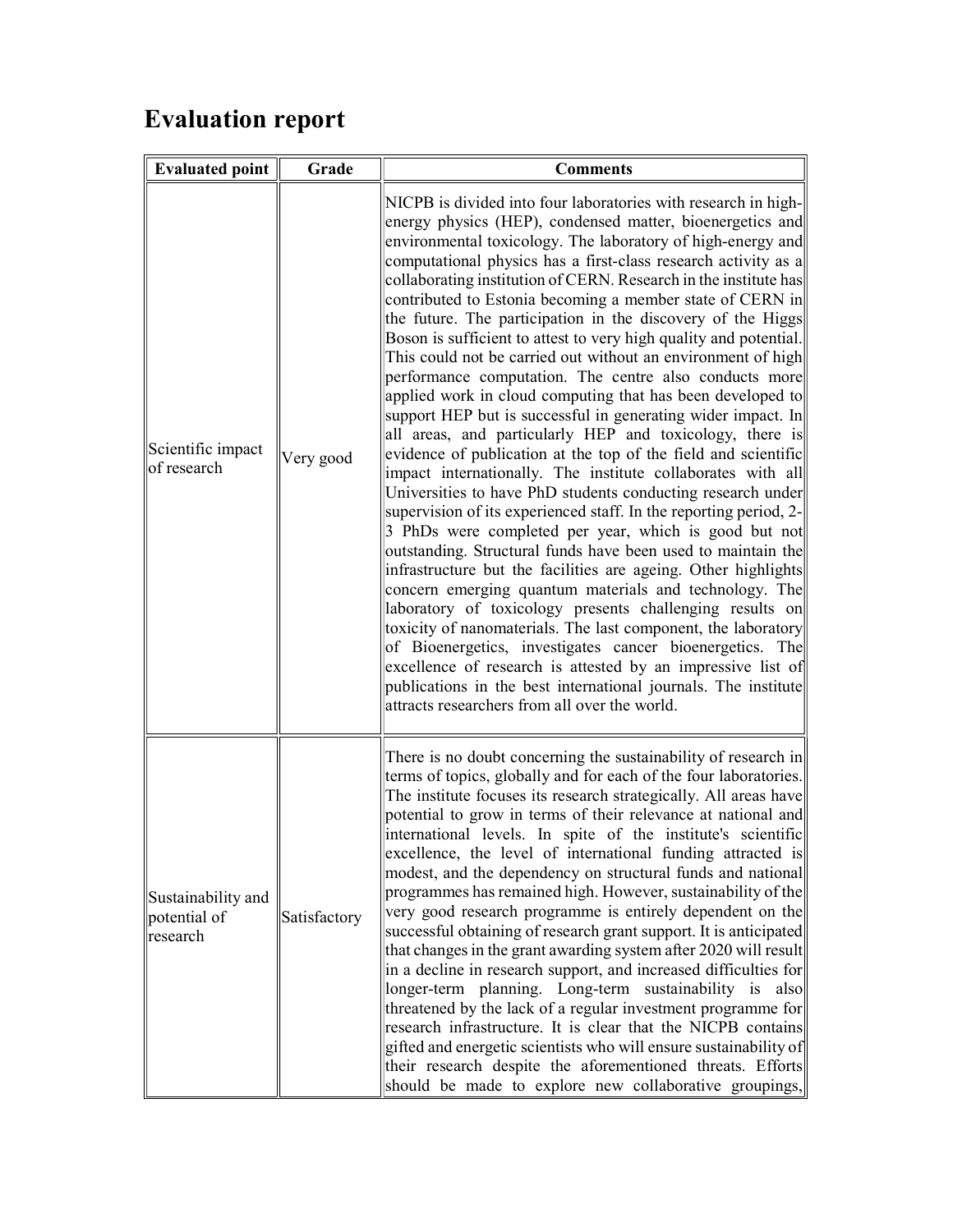## Evaluation report

| <b>Evaluated point</b>                         | Grade        | <b>Comments</b>                                                                                                                                                                                                                                                                                                                                                                                                                                                                                                                                                                                                                                                                                                                                                                                                                                                                                                                                                                                                                                                                                                                                                                                                                                                                                                                                                                                                                                                                                                                                                                                                                                                                                                                                            |
|------------------------------------------------|--------------|------------------------------------------------------------------------------------------------------------------------------------------------------------------------------------------------------------------------------------------------------------------------------------------------------------------------------------------------------------------------------------------------------------------------------------------------------------------------------------------------------------------------------------------------------------------------------------------------------------------------------------------------------------------------------------------------------------------------------------------------------------------------------------------------------------------------------------------------------------------------------------------------------------------------------------------------------------------------------------------------------------------------------------------------------------------------------------------------------------------------------------------------------------------------------------------------------------------------------------------------------------------------------------------------------------------------------------------------------------------------------------------------------------------------------------------------------------------------------------------------------------------------------------------------------------------------------------------------------------------------------------------------------------------------------------------------------------------------------------------------------------|
| Scientific impact<br>of research               | Very good    | NICPB is divided into four laboratories with research in high-<br>energy physics (HEP), condensed matter, bioenergetics and<br>environmental toxicology. The laboratory of high-energy and<br>computational physics has a first-class research activity as a<br>collaborating institution of CERN. Research in the institute has<br>contributed to Estonia becoming a member state of CERN in<br>the future. The participation in the discovery of the Higgs<br>Boson is sufficient to attest to very high quality and potential.<br>This could not be carried out without an environment of high<br>performance computation. The centre also conducts more<br>applied work in cloud computing that has been developed to<br>support HEP but is successful in generating wider impact. In<br>all areas, and particularly HEP and toxicology, there is<br>evidence of publication at the top of the field and scientific<br>impact internationally. The institute collaborates with all<br>Universities to have PhD students conducting research under<br>supervision of its experienced staff. In the reporting period, 2-<br>3 PhDs were completed per year, which is good but not<br>outstanding. Structural funds have been used to maintain the<br>infrastructure but the facilities are ageing. Other highlights<br>concern emerging quantum materials and technology. The<br>laboratory of toxicology presents challenging results on<br>toxicity of nanomaterials. The last component, the laboratory<br>of Bioenergetics, investigates cancer bioenergetics. The<br>excellence of research is attested by an impressive list of<br>publications in the best international journals. The institute<br>attracts researchers from all over the world. |
| Sustainability and<br>potential of<br>research | Satisfactory | There is no doubt concerning the sustainability of research in<br>terms of topics, globally and for each of the four laboratories.<br>The institute focuses its research strategically. All areas have<br>potential to grow in terms of their relevance at national and<br>international levels. In spite of the institute's scientific<br>excellence, the level of international funding attracted is<br>modest, and the dependency on structural funds and national<br>programmes has remained high. However, sustainability of the<br>very good research programme is entirely dependent on the<br>successful obtaining of research grant support. It is anticipated<br>that changes in the grant awarding system after 2020 will result<br>in a decline in research support, and increased difficulties for<br>longer-term planning. Long-term sustainability is also<br>threatened by the lack of a regular investment programme for<br>research infrastructure. It is clear that the NICPB contains<br>gifted and energetic scientists who will ensure sustainability of<br>their research despite the aforementioned threats. Efforts<br>should be made to explore new collaborative groupings,                                                                                                                                                                                                                                                                                                                                                                                                                                                                                                                                                     |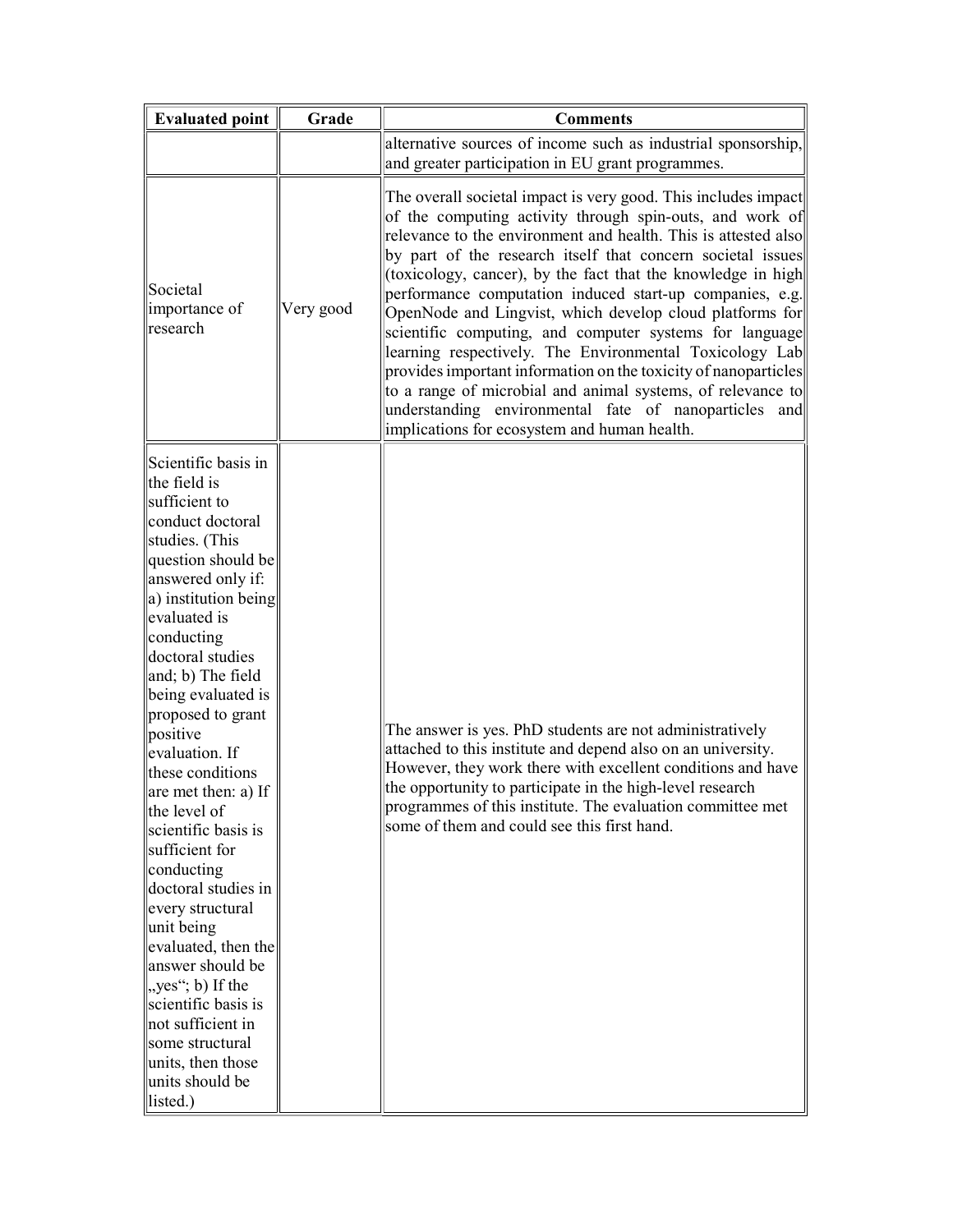| <b>Evaluated point</b>                                                                                                                                                                                                                                                                                                                                                                                                                                                                                                                                                                                                                                                                  | Grade     | <b>Comments</b>                                                                                                                                                                                                                                                                                                                                                                                                                                                                                                                                                                                                                                                                                                                                                                                                      |
|-----------------------------------------------------------------------------------------------------------------------------------------------------------------------------------------------------------------------------------------------------------------------------------------------------------------------------------------------------------------------------------------------------------------------------------------------------------------------------------------------------------------------------------------------------------------------------------------------------------------------------------------------------------------------------------------|-----------|----------------------------------------------------------------------------------------------------------------------------------------------------------------------------------------------------------------------------------------------------------------------------------------------------------------------------------------------------------------------------------------------------------------------------------------------------------------------------------------------------------------------------------------------------------------------------------------------------------------------------------------------------------------------------------------------------------------------------------------------------------------------------------------------------------------------|
|                                                                                                                                                                                                                                                                                                                                                                                                                                                                                                                                                                                                                                                                                         |           | alternative sources of income such as industrial sponsorship,<br>and greater participation in EU grant programmes.                                                                                                                                                                                                                                                                                                                                                                                                                                                                                                                                                                                                                                                                                                   |
| Societal<br>importance of<br>research                                                                                                                                                                                                                                                                                                                                                                                                                                                                                                                                                                                                                                                   | Very good | The overall societal impact is very good. This includes impact<br>of the computing activity through spin-outs, and work of<br>relevance to the environment and health. This is attested also<br>by part of the research itself that concern societal issues<br>(toxicology, cancer), by the fact that the knowledge in high<br>performance computation induced start-up companies, e.g.<br>OpenNode and Lingvist, which develop cloud platforms for<br>scientific computing, and computer systems for language<br>learning respectively. The Environmental Toxicology Lab<br>provides important information on the toxicity of nanoparticles<br>to a range of microbial and animal systems, of relevance to<br>understanding environmental fate of nanoparticles and<br>implications for ecosystem and human health. |
| Scientific basis in<br>the field is<br>sufficient to<br>conduct doctoral<br>studies. (This<br>question should be<br>answered only if:<br>a) institution being<br>evaluated is<br>conducting<br>doctoral studies<br>and; b) The field<br>being evaluated is<br>proposed to grant<br>positive<br>evaluation. If<br>these conditions<br>are met then: a) If<br>the level of<br>scientific basis is<br>sufficient for<br>conducting<br>doctoral studies in<br>every structural<br>unit being<br>evaluated, then the<br>answer should be<br>$\parallel$ , yes"; b) If the<br>scientific basis is<br>not sufficient in<br>some structural<br>units, then those<br>units should be<br>listed.) |           | The answer is yes. PhD students are not administratively<br>attached to this institute and depend also on an university.<br>However, they work there with excellent conditions and have<br>the opportunity to participate in the high-level research<br>programmes of this institute. The evaluation committee met<br>some of them and could see this first hand.                                                                                                                                                                                                                                                                                                                                                                                                                                                    |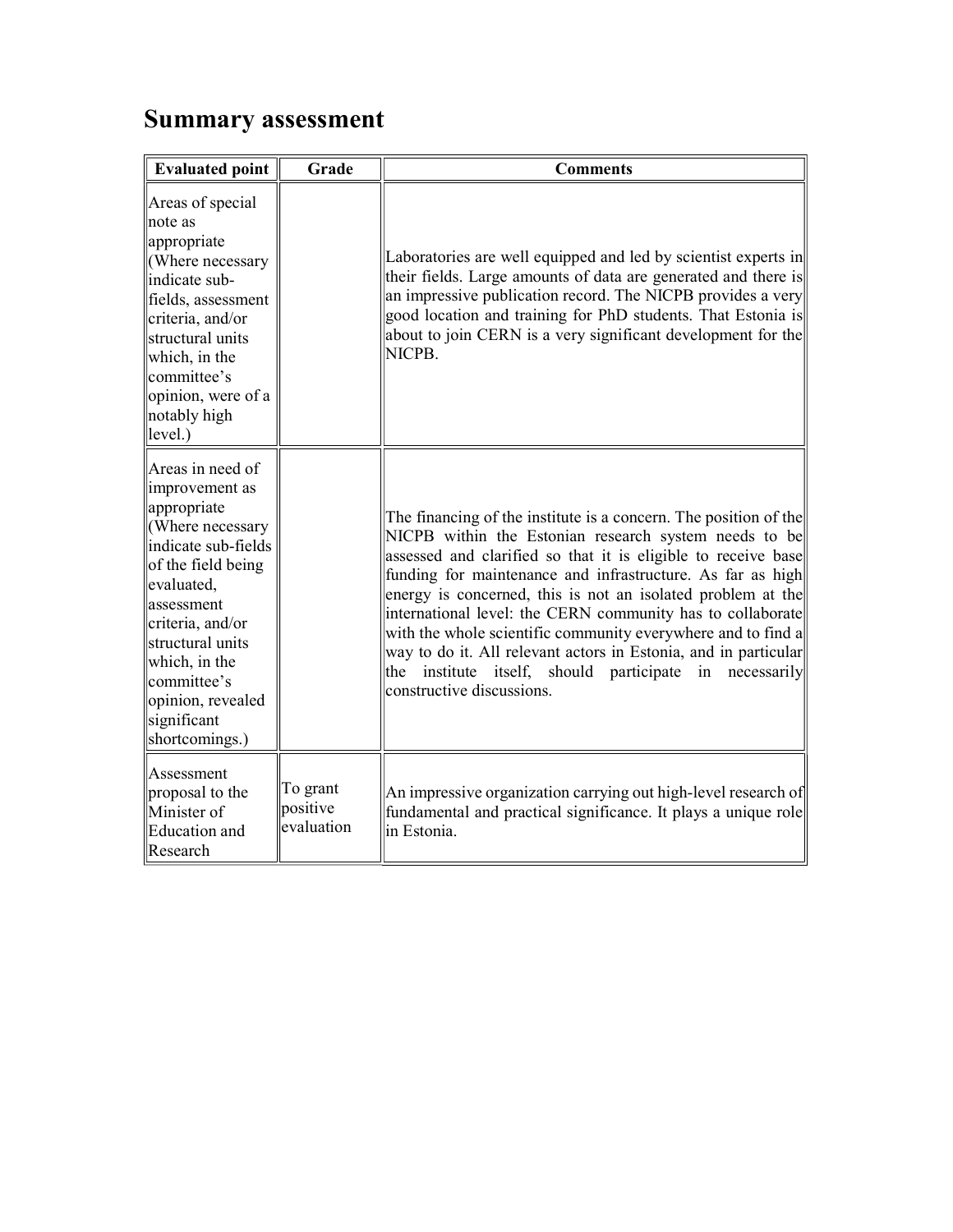## Summary assessment

| <b>Evaluated point</b>                                                                                                                                                                                                                                                         | Grade                              | <b>Comments</b>                                                                                                                                                                                                                                                                                                                                                                                                                                                                                                                                                                                                            |
|--------------------------------------------------------------------------------------------------------------------------------------------------------------------------------------------------------------------------------------------------------------------------------|------------------------------------|----------------------------------------------------------------------------------------------------------------------------------------------------------------------------------------------------------------------------------------------------------------------------------------------------------------------------------------------------------------------------------------------------------------------------------------------------------------------------------------------------------------------------------------------------------------------------------------------------------------------------|
| Areas of special<br>note as<br>appropriate<br>(Where necessary<br>indicate sub-<br>fields, assessment<br>criteria, and/or<br>structural units<br>which, in the<br>committee's<br>opinion, were of a<br>notably high<br>level.)                                                 |                                    | Laboratories are well equipped and led by scientist experts in<br>their fields. Large amounts of data are generated and there is<br>an impressive publication record. The NICPB provides a very<br>good location and training for PhD students. That Estonia is<br>about to join CERN is a very significant development for the<br>NICPB.                                                                                                                                                                                                                                                                                  |
| Areas in need of<br>improvement as<br>appropriate<br>(Where necessary<br>indicate sub-fields<br>of the field being<br>evaluated,<br>lassessment<br>criteria, and/or<br>structural units<br>which, in the<br>lcommittee's<br>opinion, revealed<br>significant<br>shortcomings.) |                                    | The financing of the institute is a concern. The position of the<br>NICPB within the Estonian research system needs to be<br>assessed and clarified so that it is eligible to receive base<br>funding for maintenance and infrastructure. As far as high<br>energy is concerned, this is not an isolated problem at the<br>international level: the CERN community has to collaborate<br>with the whole scientific community everywhere and to find a<br>way to do it. All relevant actors in Estonia, and in particular<br>institute itself, should participate<br> the<br>in<br>necessarily<br>constructive discussions. |
| Assessment<br>proposal to the<br>Minister of<br>Education and<br>Research                                                                                                                                                                                                      | To grant<br>positive<br>evaluation | An impressive organization carrying out high-level research of<br>fundamental and practical significance. It plays a unique role<br>in Estonia.                                                                                                                                                                                                                                                                                                                                                                                                                                                                            |